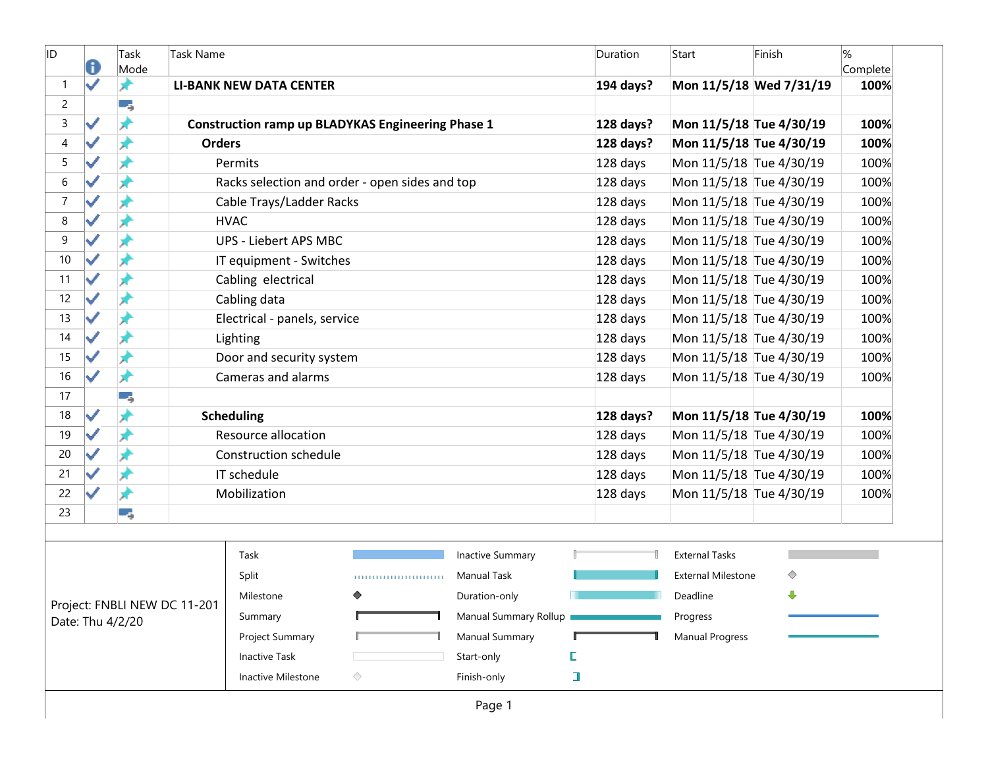| ID               | 0 | Task<br>Mode     | Task Name                    |                                |                                                          |                       |   | Duration  | Start                     | Finish                  | $\%$<br>Complete |
|------------------|---|------------------|------------------------------|--------------------------------|----------------------------------------------------------|-----------------------|---|-----------|---------------------------|-------------------------|------------------|
| $\mathbf{1}$     | ✓ | ★                |                              | <b>LI-BANK NEW DATA CENTER</b> |                                                          |                       |   | 194 days? |                           | Mon 11/5/18 Wed 7/31/19 | 100%             |
| $\overline{c}$   |   | -4               |                              |                                |                                                          |                       |   |           |                           |                         |                  |
| $\mathsf{3}$     | ✓ | ₩                |                              |                                | <b>Construction ramp up BLADYKAS Engineering Phase 1</b> |                       |   | 128 days? | Mon 11/5/18 Tue 4/30/19   |                         | 100%             |
| 4                |   | ж                | <b>Orders</b>                |                                |                                                          |                       |   | 128 days? | Mon 11/5/18 Tue 4/30/19   |                         | 100%             |
| 5                |   |                  |                              | Permits                        |                                                          |                       |   | 128 days  | Mon 11/5/18 Tue 4/30/19   |                         | 100%             |
| $\,6\,$          |   |                  |                              |                                | Racks selection and order - open sides and top           |                       |   | 128 days  | Mon 11/5/18 Tue 4/30/19   |                         | 100%             |
| $\boldsymbol{7}$ |   |                  |                              | Cable Trays/Ladder Racks       |                                                          |                       |   | 128 days  | Mon 11/5/18 Tue 4/30/19   |                         | 100%             |
| $\,8\,$          |   |                  |                              | <b>HVAC</b>                    |                                                          |                       |   | 128 days  | Mon 11/5/18 Tue 4/30/19   |                         | 100%             |
| 9                |   | Å                |                              | <b>UPS - Liebert APS MBC</b>   |                                                          |                       |   | 128 days  | Mon 11/5/18 Tue 4/30/19   |                         | 100%             |
| 10               |   |                  |                              | IT equipment - Switches        |                                                          |                       |   | 128 days  | Mon 11/5/18 Tue 4/30/19   |                         | 100%             |
| 11               |   |                  |                              | Cabling electrical             |                                                          |                       |   | 128 days  | Mon 11/5/18 Tue 4/30/19   |                         | 100%             |
| 12               |   |                  |                              | Cabling data                   |                                                          |                       |   | 128 days  | Mon 11/5/18 Tue 4/30/19   |                         | 100%             |
| 13               |   | ж                |                              | Electrical - panels, service   |                                                          |                       |   | 128 days  | Mon 11/5/18 Tue 4/30/19   |                         | 100%             |
| 14               |   | Ж                |                              | Lighting                       |                                                          |                       |   | 128 days  | Mon 11/5/18 Tue 4/30/19   |                         | 100%             |
| 15               |   |                  |                              | Door and security system       |                                                          |                       |   | 128 days  | Mon 11/5/18 Tue 4/30/19   |                         | 100%             |
| 16               | ✓ | ⊀                |                              | Cameras and alarms             |                                                          |                       |   | 128 days  | Mon 11/5/18 Tue 4/30/19   |                         | 100%             |
| 17               |   |                  |                              |                                |                                                          |                       |   |           |                           |                         |                  |
| 18               |   | ₩                |                              | <b>Scheduling</b>              |                                                          |                       |   | 128 days? | Mon 11/5/18 Tue 4/30/19   |                         | 100%             |
| 19               |   | x                |                              | <b>Resource allocation</b>     |                                                          |                       |   | 128 days  | Mon 11/5/18 Tue 4/30/19   |                         | 100%             |
| 20               |   |                  |                              | <b>Construction schedule</b>   |                                                          |                       |   | 128 days  | Mon 11/5/18 Tue 4/30/19   |                         | 100%             |
| 21               |   | ₩                |                              | IT schedule                    |                                                          |                       |   | 128 days  | Mon 11/5/18 Tue 4/30/19   |                         | 100%             |
| 22               |   |                  |                              | Mobilization                   |                                                          |                       |   | 128 days  | Mon 11/5/18 Tue 4/30/19   |                         | 100%             |
| 23               |   | -5               |                              |                                |                                                          |                       |   |           |                           |                         |                  |
|                  |   |                  |                              |                                |                                                          |                       |   |           |                           |                         |                  |
|                  |   |                  |                              | Task                           |                                                          | Inactive Summary      |   |           | <b>External Tasks</b>     |                         |                  |
|                  |   |                  |                              | Split                          | ,,,,,,,,,,,,,,,,,,,,,,,,,                                | <b>Manual Task</b>    |   |           | <b>External Milestone</b> | ◇                       |                  |
|                  |   |                  | Project: FNBLI NEW DC 11-201 | Milestone                      | ♦                                                        | Duration-only         |   |           | Deadline                  | ⊕                       |                  |
|                  |   | Date: Thu 4/2/20 |                              | Summary                        |                                                          | Manual Summary Rollup |   |           | Progress                  |                         |                  |
|                  |   |                  |                              | Project Summary                |                                                          | <b>Manual Summary</b> |   |           | <b>Manual Progress</b>    |                         |                  |
|                  |   |                  |                              | <b>Inactive Task</b>           |                                                          | Start-only            | E |           |                           |                         |                  |
|                  |   |                  |                              | Inactive Milestone             | ◇                                                        | Finish-only           | ı |           |                           |                         |                  |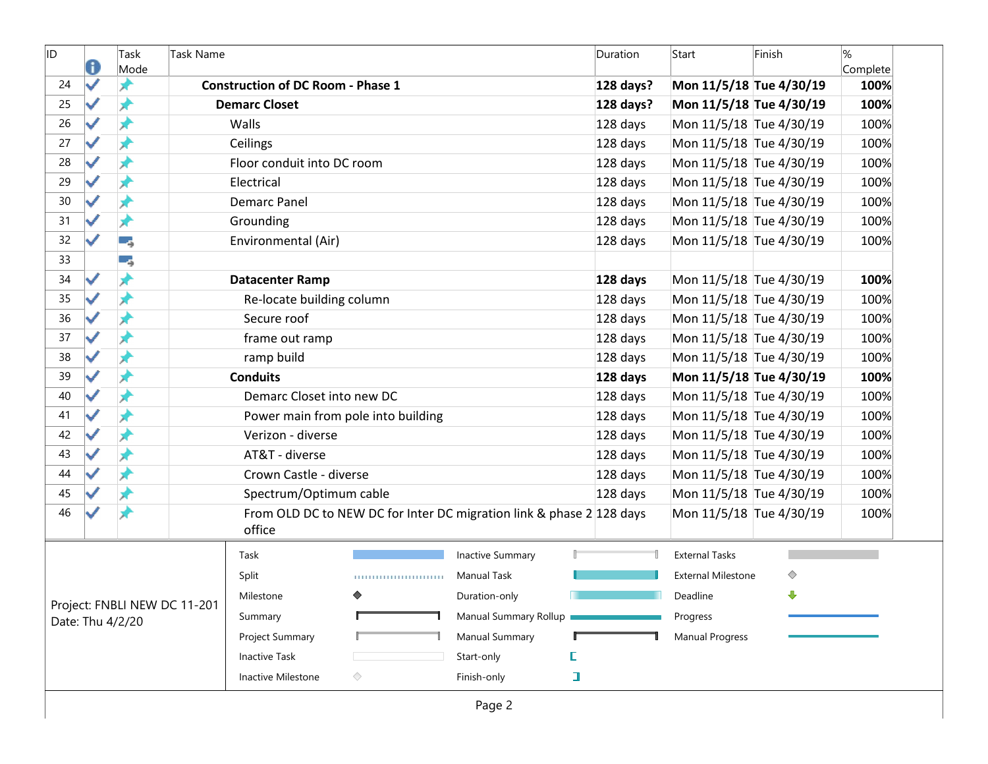| ID | a            | Task<br>Mode     | Task Name                    |                                          |                                                                      |                         |        | Duration  | Start                     | Finish | %<br>Complete |
|----|--------------|------------------|------------------------------|------------------------------------------|----------------------------------------------------------------------|-------------------------|--------|-----------|---------------------------|--------|---------------|
| 24 | $\checkmark$ |                  |                              | <b>Construction of DC Room - Phase 1</b> |                                                                      |                         |        | 128 days? | Mon 11/5/18 Tue 4/30/19   |        | 100%          |
| 25 |              |                  |                              | <b>Demarc Closet</b>                     |                                                                      |                         |        | 128 days? | Mon 11/5/18 Tue 4/30/19   |        | 100%          |
| 26 |              | ж                |                              | Walls                                    |                                                                      |                         |        | 128 days  | Mon 11/5/18 Tue 4/30/19   |        | 100%          |
| 27 |              | ж                |                              | Ceilings                                 |                                                                      |                         |        | 128 days  | Mon 11/5/18 Tue 4/30/19   |        | 100%          |
| 28 |              |                  |                              | Floor conduit into DC room               |                                                                      |                         |        | 128 days  | Mon 11/5/18 Tue 4/30/19   |        | 100%          |
| 29 |              | ⊀                |                              | Electrical                               |                                                                      |                         |        | 128 days  | Mon 11/5/18 Tue 4/30/19   |        | 100%          |
| 30 |              | ж                |                              | <b>Demarc Panel</b>                      |                                                                      |                         |        | 128 days  | Mon 11/5/18 Tue 4/30/19   |        | 100%          |
| 31 |              | ж                |                              | Grounding                                |                                                                      |                         |        | 128 days  | Mon 11/5/18 Tue 4/30/19   |        | 100%          |
| 32 |              | ۳,               |                              | Environmental (Air)                      |                                                                      |                         |        | 128 days  | Mon 11/5/18 Tue 4/30/19   |        | 100%          |
| 33 |              | و ب              |                              |                                          |                                                                      |                         |        |           |                           |        |               |
| 34 | ✓            | ⊀                |                              | <b>Datacenter Ramp</b>                   |                                                                      |                         |        | 128 days  | Mon 11/5/18 Tue 4/30/19   |        | 100%          |
| 35 |              | ⊀                |                              | Re-locate building column                |                                                                      |                         |        | 128 days  | Mon 11/5/18 Tue 4/30/19   |        | 100%          |
| 36 |              | ж                |                              | Secure roof                              |                                                                      |                         |        | 128 days  | Mon 11/5/18 Tue 4/30/19   |        | 100%          |
| 37 |              | ж                |                              | frame out ramp                           |                                                                      |                         |        | 128 days  | Mon 11/5/18 Tue 4/30/19   |        | 100%          |
| 38 |              |                  |                              | ramp build                               |                                                                      |                         |        | 128 days  | Mon 11/5/18 Tue 4/30/19   |        | 100%          |
| 39 |              | ⊀                |                              | <b>Conduits</b>                          |                                                                      |                         |        | 128 days  | Mon 11/5/18 Tue 4/30/19   |        | 100%          |
| 40 |              |                  |                              | Demarc Closet into new DC                |                                                                      |                         |        | 128 days  | Mon 11/5/18 Tue 4/30/19   |        | 100%          |
| 41 |              | ж                |                              |                                          | Power main from pole into building                                   |                         |        | 128 days  | Mon 11/5/18 Tue 4/30/19   |        | 100%          |
| 42 |              | ж                |                              | Verizon - diverse                        |                                                                      |                         |        | 128 days  | Mon 11/5/18 Tue 4/30/19   |        | 100%          |
| 43 |              |                  |                              | AT&T - diverse                           |                                                                      |                         |        | 128 days  | Mon 11/5/18 Tue 4/30/19   |        | 100%          |
| 44 |              | Å                |                              | Crown Castle - diverse                   |                                                                      |                         |        | 128 days  | Mon 11/5/18 Tue 4/30/19   |        | 100%          |
| 45 |              |                  |                              | Spectrum/Optimum cable                   |                                                                      |                         |        | 128 days  | Mon 11/5/18 Tue 4/30/19   |        | 100%          |
| 46 |              |                  |                              | office                                   | From OLD DC to NEW DC for Inter DC migration link & phase 2 128 days |                         |        |           | Mon 11/5/18 Tue 4/30/19   |        | 100%          |
|    |              |                  |                              | Task                                     |                                                                      | <b>Inactive Summary</b> |        |           | <b>External Tasks</b>     |        |               |
|    |              |                  |                              | Split                                    | ,,,,,,,,,,,,,,,,,,,,,,,,,                                            | <b>Manual Task</b>      |        |           | <b>External Milestone</b> | ◇      |               |
|    |              |                  |                              | Milestone                                | ♦                                                                    | Duration-only           |        |           | Deadline                  | ⊕      |               |
|    |              | Date: Thu 4/2/20 | Project: FNBLI NEW DC 11-201 | Summary                                  |                                                                      | Manual Summary Rollup   |        |           | Progress                  |        |               |
|    |              |                  |                              | Project Summary                          |                                                                      | <b>Manual Summary</b>   |        |           | <b>Manual Progress</b>    |        |               |
|    |              |                  |                              | <b>Inactive Task</b>                     |                                                                      | Start-only              | E      |           |                           |        |               |
|    |              |                  |                              | Inactive Milestone                       | ◇                                                                    | Finish-only             | $\Box$ |           |                           |        |               |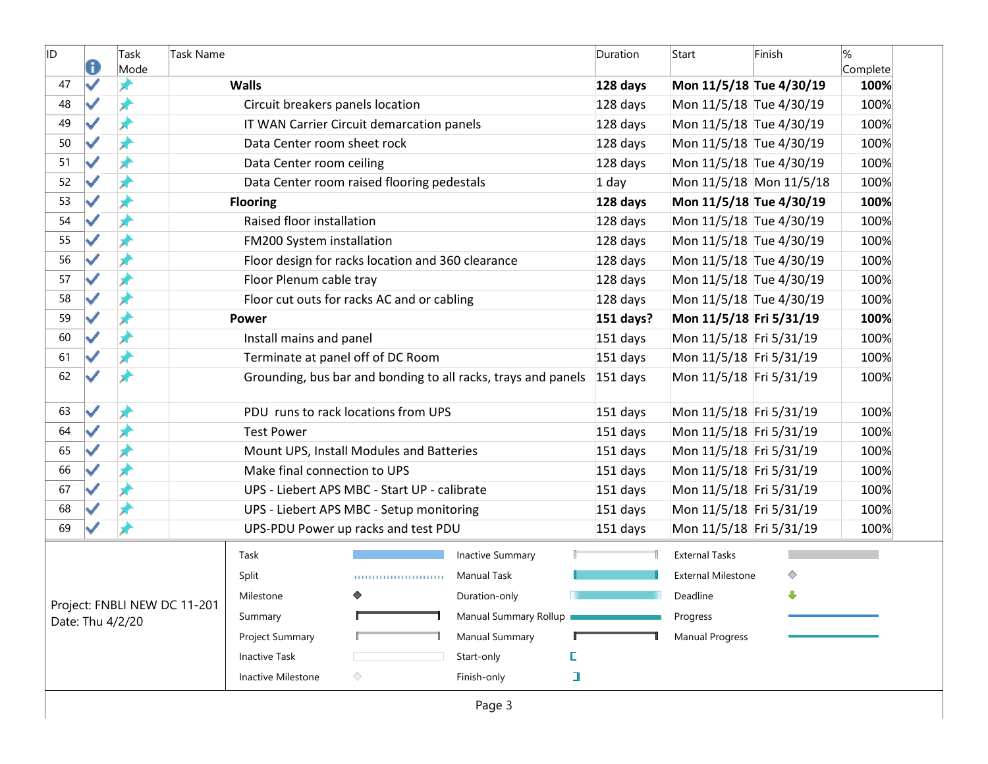| ID | O                     | Task<br>Mode     | <b>Task Name</b>             |                                  |                                                   |                                                               |   | Duration   | Start                     | Finish | %<br>Complete |
|----|-----------------------|------------------|------------------------------|----------------------------------|---------------------------------------------------|---------------------------------------------------------------|---|------------|---------------------------|--------|---------------|
| 47 | ✓                     |                  |                              | <b>Walls</b>                     |                                                   |                                                               |   | 128 days   | Mon 11/5/18 Tue 4/30/19   |        | 100%          |
| 48 | ✓                     |                  |                              | Circuit breakers panels location |                                                   |                                                               |   | 128 days   | Mon 11/5/18 Tue 4/30/19   |        | 100%          |
| 49 | $\blacktriangleright$ | ж                |                              |                                  | IT WAN Carrier Circuit demarcation panels         |                                                               |   | 128 days   | Mon 11/5/18 Tue 4/30/19   |        | 100%          |
| 50 | ✓                     | x                |                              | Data Center room sheet rock      |                                                   |                                                               |   | 128 days   | Mon 11/5/18 Tue 4/30/19   |        | 100%          |
| 51 | ✓                     | x                |                              | Data Center room ceiling         |                                                   |                                                               |   | 128 days   | Mon 11/5/18 Tue 4/30/19   |        | 100%          |
| 52 |                       | ⊀                |                              |                                  | Data Center room raised flooring pedestals        |                                                               |   | $1$ day    | Mon 11/5/18 Mon 11/5/18   |        | 100%          |
| 53 |                       | Ж                |                              | <b>Flooring</b>                  |                                                   |                                                               |   | 128 days   | Mon 11/5/18 Tue 4/30/19   |        | 100%          |
| 54 | $\blacktriangledown$  | ж                |                              | Raised floor installation        |                                                   |                                                               |   | 128 days   | Mon 11/5/18 Tue 4/30/19   |        | 100%          |
| 55 |                       | ×                |                              | FM200 System installation        |                                                   |                                                               |   | 128 days   | Mon 11/5/18 Tue 4/30/19   |        | 100%          |
| 56 |                       | A                |                              |                                  | Floor design for racks location and 360 clearance |                                                               |   | 128 days   | Mon 11/5/18 Tue 4/30/19   |        | 100%          |
| 57 |                       | À                |                              | Floor Plenum cable tray          |                                                   |                                                               |   | 128 days   | Mon 11/5/18 Tue 4/30/19   |        | 100%          |
| 58 |                       |                  |                              |                                  | Floor cut outs for racks AC and or cabling        |                                                               |   | 128 days   | Mon 11/5/18 Tue 4/30/19   |        | 100%          |
| 59 | $\blacktriangledown$  | ж                |                              | Power                            |                                                   |                                                               |   | 151 days?  | Mon 11/5/18 Fri 5/31/19   |        | 100%          |
| 60 | ✓                     | x                |                              | Install mains and panel          |                                                   |                                                               |   | 151 days   | Mon 11/5/18 Fri 5/31/19   |        | 100%          |
| 61 | ✓                     |                  |                              |                                  | Terminate at panel off of DC Room                 |                                                               |   | 151 days   | Mon 11/5/18 Fri 5/31/19   |        | 100%          |
| 62 |                       |                  |                              |                                  |                                                   | Grounding, bus bar and bonding to all racks, trays and panels |   | $151$ days | Mon 11/5/18 Fri 5/31/19   |        | 100%          |
| 63 | $\blacktriangledown$  | ж                |                              |                                  | PDU runs to rack locations from UPS               |                                                               |   | 151 days   | Mon 11/5/18 Fri 5/31/19   |        | 100%          |
| 64 | ✓                     | ж                |                              | <b>Test Power</b>                |                                                   |                                                               |   | 151 days   | Mon 11/5/18 Fri 5/31/19   |        | 100%          |
| 65 | ✓                     |                  |                              |                                  | Mount UPS, Install Modules and Batteries          |                                                               |   | 151 days   | Mon 11/5/18 Fri 5/31/19   |        | 100%          |
| 66 |                       |                  |                              | Make final connection to UPS     |                                                   |                                                               |   | 151 days   | Mon 11/5/18 Fri 5/31/19   |        | 100%          |
| 67 | $\blacktriangleright$ | ж                |                              |                                  | UPS - Liebert APS MBC - Start UP - calibrate      |                                                               |   | 151 days   | Mon 11/5/18 Fri 5/31/19   |        | 100%          |
| 68 |                       |                  |                              |                                  | UPS - Liebert APS MBC - Setup monitoring          |                                                               |   | 151 days   | Mon 11/5/18 Fri 5/31/19   |        | 100%          |
| 69 |                       | ж                |                              |                                  | UPS-PDU Power up racks and test PDU               |                                                               |   | 151 days   | Mon 11/5/18 Fri 5/31/19   |        | 100%          |
|    |                       |                  |                              | Task                             |                                                   | <b>Inactive Summary</b>                                       |   |            | <b>External Tasks</b>     |        |               |
|    |                       |                  |                              | Split                            | 1111111111111111111111111                         | <b>Manual Task</b>                                            |   |            | <b>External Milestone</b> | ◇      |               |
|    |                       |                  |                              | Milestone                        | ◆                                                 | Duration-only                                                 |   |            | Deadline                  | ⊕      |               |
|    |                       | Date: Thu 4/2/20 | Project: FNBLI NEW DC 11-201 | Summary                          |                                                   | Manual Summary Rollup                                         |   |            | Progress                  |        |               |
|    |                       |                  |                              | Project Summary                  |                                                   | Manual Summary                                                |   |            | <b>Manual Progress</b>    |        |               |
|    |                       |                  |                              | <b>Inactive Task</b>             |                                                   | Start-only                                                    | C |            |                           |        |               |
|    |                       |                  |                              | Inactive Milestone               | ◇                                                 | Finish-only                                                   | ı |            |                           |        |               |
|    |                       |                  |                              |                                  |                                                   | Page 3                                                        |   |            |                           |        |               |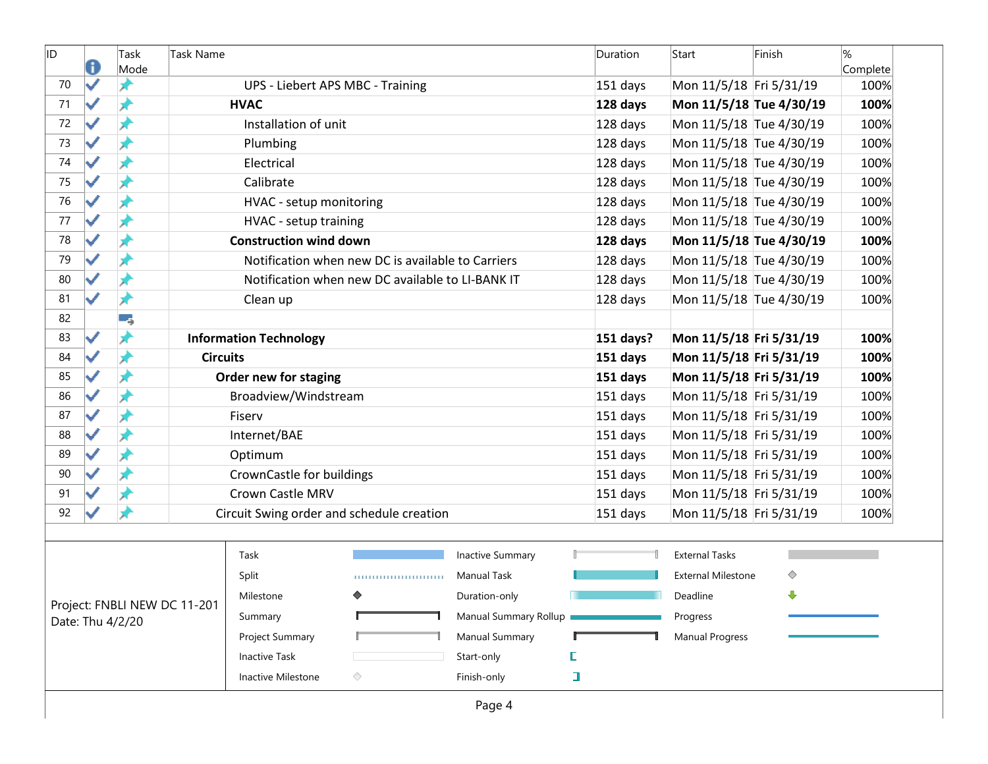| ID | 0                    | Task<br>Mode     | Task Name                    |                                  |                                                   |                         | Duration  | Start                     | Finish | %<br>Complete |
|----|----------------------|------------------|------------------------------|----------------------------------|---------------------------------------------------|-------------------------|-----------|---------------------------|--------|---------------|
| 70 | ✓                    | x                |                              | UPS - Liebert APS MBC - Training |                                                   |                         | 151 days  | Mon 11/5/18 Fri 5/31/19   |        | 100%          |
| 71 | $\blacktriangledown$ | ×                |                              | <b>HVAC</b>                      |                                                   |                         | 128 days  | Mon 11/5/18 Tue 4/30/19   |        | 100%          |
| 72 | ✓                    | x                |                              | Installation of unit             |                                                   |                         | 128 days  | Mon 11/5/18 Tue 4/30/19   |        | 100%          |
| 73 | ✓                    | ×                |                              | Plumbing                         |                                                   |                         | 128 days  | Mon 11/5/18 Tue 4/30/19   |        | 100%          |
| 74 | ✓                    | ⊀                |                              | Electrical                       |                                                   |                         | 128 days  | Mon 11/5/18 Tue 4/30/19   |        | 100%          |
| 75 | ✓                    | ⊀                |                              | Calibrate                        |                                                   |                         | 128 days  | Mon 11/5/18 Tue 4/30/19   |        | 100%          |
| 76 | $\checkmark$         | я                |                              | HVAC - setup monitoring          |                                                   |                         | 128 days  | Mon 11/5/18 Tue 4/30/19   |        | 100%          |
| 77 | ✓                    | Ж                |                              | HVAC - setup training            |                                                   |                         | 128 days  | Mon 11/5/18 Tue 4/30/19   |        | 100%          |
| 78 | ✓                    | ×                |                              | <b>Construction wind down</b>    |                                                   |                         | 128 days  | Mon 11/5/18 Tue 4/30/19   |        | 100%          |
| 79 |                      |                  |                              |                                  | Notification when new DC is available to Carriers |                         | 128 days  | Mon 11/5/18 Tue 4/30/19   |        | 100%          |
| 80 | ✓                    | ⊀                |                              |                                  | Notification when new DC available to LI-BANK IT  |                         | 128 days  | Mon 11/5/18 Tue 4/30/19   |        | 100%          |
| 81 | $\blacktriangledown$ | ×                |                              | Clean up                         |                                                   |                         | 128 days  | Mon 11/5/18 Tue 4/30/19   |        | 100%          |
| 82 |                      | -3               |                              |                                  |                                                   |                         |           |                           |        |               |
| 83 | ✓                    | ×                |                              | <b>Information Technology</b>    |                                                   |                         | 151 days? | Mon 11/5/18 Fri 5/31/19   |        | 100%          |
| 84 | ✓                    | Å                | <b>Circuits</b>              |                                  |                                                   |                         | 151 days  | Mon 11/5/18 Fri 5/31/19   |        | 100%          |
| 85 | ✓                    | ⊀                |                              | Order new for staging            |                                                   |                         | 151 days  | Mon 11/5/18 Fri 5/31/19   |        | 100%          |
| 86 | $\checkmark$         | Ж                |                              | Broadview/Windstream             |                                                   |                         | 151 days  | Mon 11/5/18 Fri 5/31/19   |        | 100%          |
| 87 | ✓                    | ж                |                              | Fiserv                           |                                                   |                         | 151 days  | Mon 11/5/18 Fri 5/31/19   |        | 100%          |
| 88 | ✓                    | ×                |                              | Internet/BAE                     |                                                   |                         | 151 days  | Mon 11/5/18 Fri 5/31/19   |        | 100%          |
| 89 | ✓                    |                  |                              | Optimum                          |                                                   |                         | 151 days  | Mon 11/5/18 Fri 5/31/19   |        | 100%          |
| 90 | ✓                    | ⊀                |                              | CrownCastle for buildings        |                                                   |                         | 151 days  | Mon 11/5/18 Fri 5/31/19   |        | 100%          |
| 91 |                      |                  |                              | <b>Crown Castle MRV</b>          |                                                   |                         | 151 days  | Mon 11/5/18 Fri 5/31/19   |        | 100%          |
| 92 |                      |                  |                              |                                  | Circuit Swing order and schedule creation         |                         | 151 days  | Mon 11/5/18 Fri 5/31/19   |        | 100%          |
|    |                      |                  |                              |                                  |                                                   |                         |           |                           |        |               |
|    |                      |                  |                              | Task                             |                                                   | <b>Inactive Summary</b> |           | <b>External Tasks</b>     |        |               |
|    |                      |                  |                              | Split                            | ,,,,,,,,,,,,,,,,,,,,,,,,,                         | Manual Task             |           | <b>External Milestone</b> | ◇      |               |
|    |                      |                  |                              | Milestone                        | ◆                                                 | Duration-only           |           | Deadline                  | ⊕      |               |
|    |                      | Date: Thu 4/2/20 | Project: FNBLI NEW DC 11-201 | Summary                          |                                                   | Manual Summary Rollup   |           | Progress                  |        |               |
|    |                      |                  |                              | Project Summary                  |                                                   | Manual Summary          |           | <b>Manual Progress</b>    |        |               |
|    |                      |                  |                              | <b>Inactive Task</b>             |                                                   | Start-only              | D         |                           |        |               |
|    |                      |                  |                              | Inactive Milestone               | ◇                                                 | Finish-only             | ı         |                           |        |               |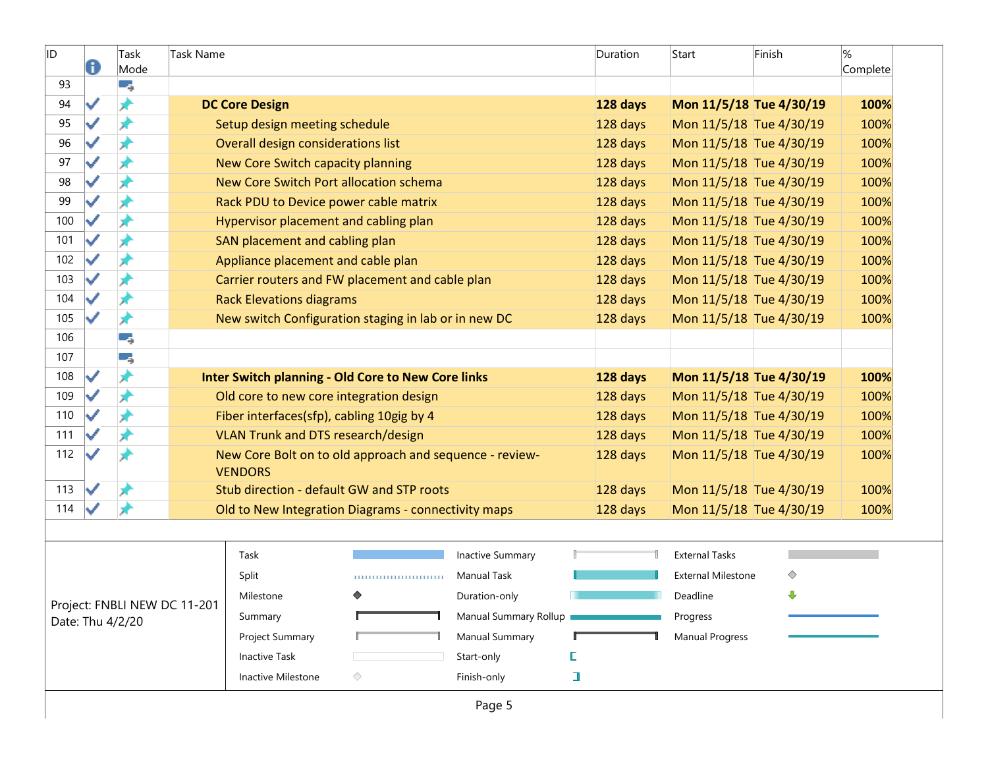| ID  | 0 | Task<br>Mode                                     | Task Name |                                           |                                                           |                         | Duration | Start                     | Finish                  | $\frac{9}{6}$<br>Complete |
|-----|---|--------------------------------------------------|-----------|-------------------------------------------|-----------------------------------------------------------|-------------------------|----------|---------------------------|-------------------------|---------------------------|
| 93  |   | -5                                               |           |                                           |                                                           |                         |          |                           |                         |                           |
| 94  |   | ★                                                |           | <b>DC Core Design</b>                     |                                                           |                         | 128 days |                           | Mon 11/5/18 Tue 4/30/19 | 100%                      |
| 95  |   | ⊀                                                |           | Setup design meeting schedule             |                                                           |                         | 128 days |                           | Mon 11/5/18 Tue 4/30/19 | 100%                      |
| 96  |   | ォ                                                |           | Overall design considerations list        |                                                           |                         | 128 days |                           | Mon 11/5/18 Tue 4/30/19 | 100%                      |
| 97  |   | x                                                |           | New Core Switch capacity planning         |                                                           |                         | 128 days |                           | Mon 11/5/18 Tue 4/30/19 | 100%                      |
| 98  |   | ⊀                                                |           |                                           | New Core Switch Port allocation schema                    |                         | 128 days |                           | Mon 11/5/18 Tue 4/30/19 | 100%                      |
| 99  |   | ⊀                                                |           | Rack PDU to Device power cable matrix     |                                                           |                         | 128 days |                           | Mon 11/5/18 Tue 4/30/19 | 100%                      |
| 100 |   | ⊀                                                |           | Hypervisor placement and cabling plan     |                                                           |                         | 128 days |                           | Mon 11/5/18 Tue 4/30/19 | 100%                      |
| 101 |   | Х                                                |           | SAN placement and cabling plan            |                                                           |                         | 128 days |                           | Mon 11/5/18 Tue 4/30/19 | 100%                      |
| 102 |   | x                                                |           | Appliance placement and cable plan        |                                                           |                         | 128 days |                           | Mon 11/5/18 Tue 4/30/19 | 100%                      |
| 103 |   | ★                                                |           |                                           | Carrier routers and FW placement and cable plan           |                         | 128 days |                           | Mon 11/5/18 Tue 4/30/19 | 100%                      |
| 104 |   | ⊀                                                |           | <b>Rack Elevations diagrams</b>           |                                                           |                         | 128 days |                           | Mon 11/5/18 Tue 4/30/19 | 100%                      |
| 105 |   | ★                                                |           |                                           | New switch Configuration staging in lab or in new DC      |                         | 128 days |                           | Mon 11/5/18 Tue 4/30/19 | 100%                      |
| 106 |   | -4                                               |           |                                           |                                                           |                         |          |                           |                         |                           |
| 107 |   | ٥,                                               |           |                                           |                                                           |                         |          |                           |                         |                           |
| 108 | ✓ | ₩                                                |           |                                           | <b>Inter Switch planning - Old Core to New Core links</b> |                         | 128 days |                           | Mon 11/5/18 Tue 4/30/19 | 100%                      |
| 109 |   | ⊀                                                |           | Old core to new core integration design   |                                                           |                         | 128 days |                           | Mon 11/5/18 Tue 4/30/19 | 100%                      |
| 110 |   | ⊀                                                |           | Fiber interfaces(sfp), cabling 10gig by 4 |                                                           |                         | 128 days |                           | Mon 11/5/18 Tue 4/30/19 | 100%                      |
| 111 |   | ж                                                |           | <b>VLAN Trunk and DTS research/design</b> |                                                           |                         | 128 days |                           | Mon 11/5/18 Tue 4/30/19 | 100%                      |
| 112 |   |                                                  |           | <b>VENDORS</b>                            | New Core Bolt on to old approach and sequence - review-   |                         | 128 days |                           | Mon 11/5/18 Tue 4/30/19 | 100%                      |
| 113 |   |                                                  |           |                                           | Stub direction - default GW and STP roots                 |                         | 128 days |                           | Mon 11/5/18 Tue 4/30/19 | 100%                      |
| 114 |   | ₩                                                |           |                                           | Old to New Integration Diagrams - connectivity maps       |                         | 128 days |                           | Mon 11/5/18 Tue 4/30/19 | 100%                      |
|     |   |                                                  |           |                                           |                                                           |                         |          |                           |                         |                           |
|     |   |                                                  |           | Task                                      |                                                           | <b>Inactive Summary</b> |          | <b>External Tasks</b>     |                         |                           |
|     |   |                                                  |           | Split                                     | ,,,,,,,,,,,,,,,,,,,,,,,,,                                 | <b>Manual Task</b>      |          | <b>External Milestone</b> | ◇                       |                           |
|     |   |                                                  |           | Milestone                                 |                                                           | Duration-only           |          | Deadline                  | ⊕                       |                           |
|     |   | Project: FNBLI NEW DC 11-201<br>Date: Thu 4/2/20 |           | Summary                                   |                                                           | Manual Summary Rollup   |          | Progress                  |                         |                           |
|     |   |                                                  |           | Project Summary                           |                                                           | Manual Summary          |          | <b>Manual Progress</b>    |                         |                           |
|     |   |                                                  |           | <b>Inactive Task</b>                      |                                                           | Start-only              | E        |                           |                         |                           |
|     |   |                                                  |           | Inactive Milestone                        | ◇                                                         | Finish-only             | ı        |                           |                         |                           |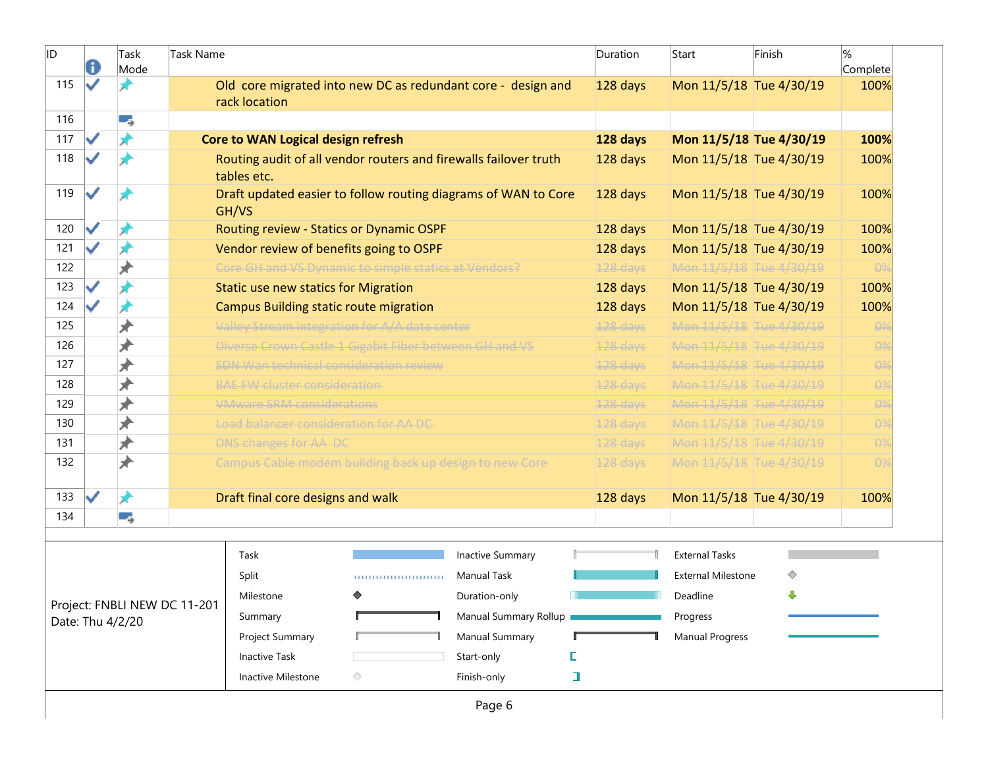| ID  | A | Task<br>Mode                 | <b>Task Name</b> |                                               |                                                         |                                                                  | Duration   | Start                     | Finish | %<br>Complete |
|-----|---|------------------------------|------------------|-----------------------------------------------|---------------------------------------------------------|------------------------------------------------------------------|------------|---------------------------|--------|---------------|
| 115 |   |                              |                  | rack location                                 |                                                         | Old core migrated into new DC as redundant core - design and     | 128 days   | Mon 11/5/18 Tue 4/30/19   |        | 100%          |
| 116 |   | -5                           |                  |                                               |                                                         |                                                                  |            |                           |        |               |
| 117 |   |                              |                  | <b>Core to WAN Logical design refresh</b>     |                                                         |                                                                  | 128 days   | Mon 11/5/18 Tue 4/30/19   |        | 100%          |
| 118 |   |                              |                  | tables etc.                                   |                                                         | Routing audit of all vendor routers and firewalls failover truth | 128 days   | Mon 11/5/18 Tue 4/30/19   |        | 100%          |
| 119 | ے |                              |                  | GH/VS                                         |                                                         | Draft updated easier to follow routing diagrams of WAN to Core   | 128 days   | Mon 11/5/18 Tue 4/30/19   |        | 100%          |
| 120 | ✓ |                              |                  |                                               | Routing review - Statics or Dynamic OSPF                |                                                                  | 128 days   | Mon 11/5/18 Tue 4/30/19   |        | 100%          |
| 121 |   |                              |                  |                                               | Vendor review of benefits going to OSPF                 |                                                                  | 128 days   | Mon 11/5/18 Tue 4/30/19   |        | 100%          |
| 122 |   |                              |                  |                                               | Core GH and VS Dynamic to simple statics at Vendors?    |                                                                  | 128 days   | Mon 11/5/18 Tue 4/30/19   |        | $\theta$ %    |
| 123 |   | ₩                            |                  | <b>Static use new statics for Migration</b>   |                                                         |                                                                  | 128 days   | Mon 11/5/18 Tue 4/30/19   |        | 100%          |
| 124 |   | ⊀                            |                  | <b>Campus Building static route migration</b> |                                                         |                                                                  | 128 days   | Mon 11/5/18 Tue 4/30/19   |        | 100%          |
| 125 |   | ★                            |                  |                                               | Valley Stream Integration for A/A data center           |                                                                  | 128 days   | Mon 11/5/18 Tue 4/30/19   |        | $\theta$ %    |
| 126 |   | ≱                            |                  |                                               | Diverse Crown Castle 1 Gigabit Fiber between GH and VS  |                                                                  | $128$ days | Mon 11/5/18 Tue 4/30/19   |        | $\theta$ %    |
| 127 |   | ₩                            |                  |                                               | <b>SDN Wan technical consideration review</b>           |                                                                  | 128 days   | Mon 11/5/18 Tue 4/30/19   |        | $\theta$ %    |
| 128 |   | ⊭                            |                  | <b>BAE FW cluster consideration</b>           |                                                         |                                                                  | $128$ days | Mon 11/5/18 Tue 4/30/19   |        | $\theta$ %    |
| 129 |   | ≯                            |                  | <b>VMware SRM considerations</b>              |                                                         |                                                                  | 128 days   | Mon 11/5/18 Tue 4/30/19   |        | $\theta$ %    |
| 130 |   | ★                            |                  | Load balancer consideration for AA DC         |                                                         |                                                                  | 128 days   | Mon 11/5/18 Tue 4/30/19   |        | $\theta$ %    |
| 131 |   | ₩                            |                  | DNS changes for AA DC                         |                                                         |                                                                  | $128$ days | Mon 11/5/18 Tue 4/30/19   |        | $\theta$ %    |
| 132 |   |                              |                  |                                               | Campus Cable modem building back up design to new Core- |                                                                  | 128 days   | Mon 11/5/18 Tue 4/30/19   |        | $\theta$ %    |
| 133 |   | ₩                            |                  | Draft final core designs and walk             |                                                         |                                                                  | 128 days   | Mon 11/5/18 Tue 4/30/19   |        | 100%          |
| 134 |   | 5                            |                  |                                               |                                                         |                                                                  |            |                           |        |               |
|     |   |                              |                  | Task                                          |                                                         | <b>Inactive Summary</b>                                          |            | <b>External Tasks</b>     |        |               |
|     |   |                              |                  | Split                                         |                                                         | <b>Manual Task</b>                                               |            | <b>External Milestone</b> | ♦      |               |
|     |   |                              |                  |                                               |                                                         | Duration-only                                                    |            |                           | ⊕      |               |
|     |   | Project: FNBLI NEW DC 11-201 |                  | Milestone                                     |                                                         | Manual Summary Rollup                                            |            | Deadline<br>Progress      |        |               |
|     |   | Date: Thu 4/2/20             |                  | Summary                                       |                                                         |                                                                  |            |                           |        |               |
|     |   |                              |                  | Project Summary                               |                                                         | Manual Summary                                                   | C          | <b>Manual Progress</b>    |        |               |
|     |   |                              |                  | <b>Inactive Task</b>                          |                                                         | Start-only                                                       |            |                           |        |               |
|     |   |                              |                  | Inactive Milestone                            | ◇                                                       | Finish-only                                                      | I          |                           |        |               |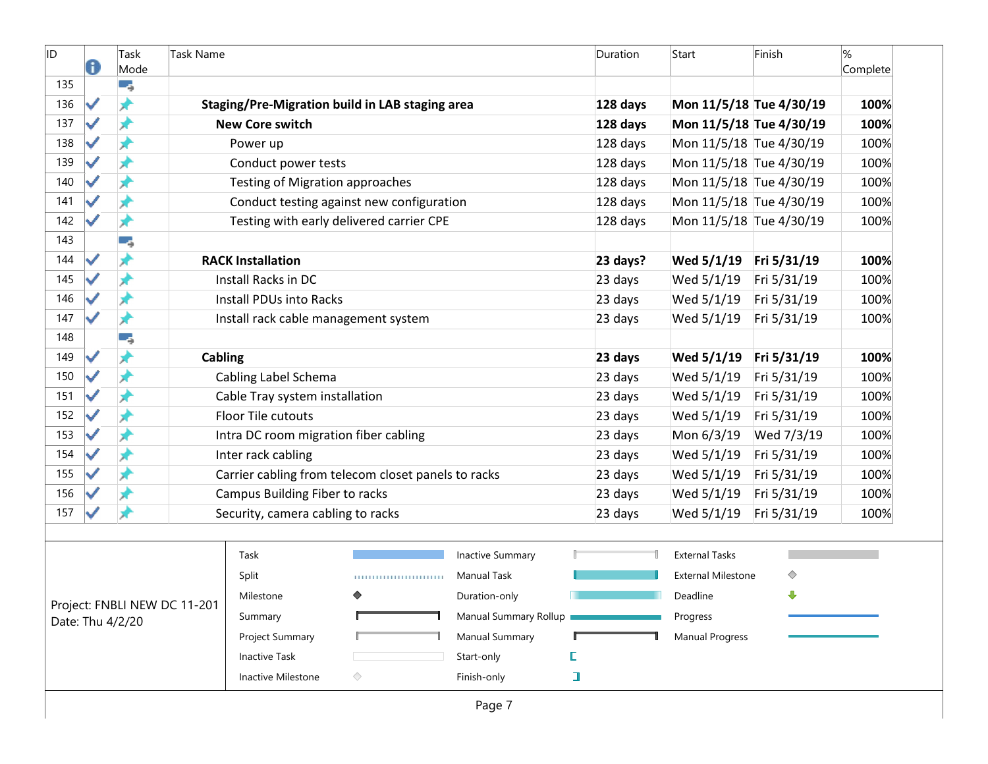| ID  | Task<br>Mode     | Task Name                    |                                        |                                                     |                       |   | Duration | Start                     | Finish      | $\%$<br>Complete |
|-----|------------------|------------------------------|----------------------------------------|-----------------------------------------------------|-----------------------|---|----------|---------------------------|-------------|------------------|
| 135 | -4               |                              |                                        |                                                     |                       |   |          |                           |             |                  |
| 136 | ⊀                |                              |                                        | Staging/Pre-Migration build in LAB staging area     |                       |   | 128 days | Mon 11/5/18 Tue 4/30/19   |             | 100%             |
| 137 | ж                |                              | <b>New Core switch</b>                 |                                                     |                       |   | 128 days | Mon 11/5/18 Tue 4/30/19   |             | 100%             |
| 138 | ж                |                              | Power up                               |                                                     |                       |   | 128 days | Mon 11/5/18 Tue 4/30/19   |             | 100%             |
| 139 |                  |                              | Conduct power tests                    |                                                     |                       |   | 128 days | Mon 11/5/18 Tue 4/30/19   |             | 100%             |
| 140 |                  |                              | <b>Testing of Migration approaches</b> |                                                     |                       |   | 128 days | Mon 11/5/18 Tue 4/30/19   |             | 100%             |
| 141 |                  |                              |                                        | Conduct testing against new configuration           |                       |   | 128 days | Mon 11/5/18 Tue 4/30/19   |             | 100%             |
| 142 | Ж                |                              |                                        | Testing with early delivered carrier CPE            |                       |   | 128 days | Mon 11/5/18 Tue 4/30/19   |             | 100%             |
| 143 | -5               |                              |                                        |                                                     |                       |   |          |                           |             |                  |
| 144 | Ж                |                              | <b>RACK Installation</b>               |                                                     |                       |   | 23 days? | Wed 5/1/19                | Fri 5/31/19 | 100%             |
| 145 | Å                |                              | Install Racks in DC                    |                                                     |                       |   | 23 days  | Wed 5/1/19                | Fri 5/31/19 | 100%             |
| 146 |                  |                              | Install PDUs into Racks                |                                                     |                       |   | 23 days  | Wed 5/1/19                | Fri 5/31/19 | 100%             |
| 147 | ж                |                              | Install rack cable management system   |                                                     |                       |   | 23 days  | Wed 5/1/19                | Fri 5/31/19 | 100%             |
| 148 | -4               |                              |                                        |                                                     |                       |   |          |                           |             |                  |
| 149 | x                | Cabling                      |                                        |                                                     |                       |   | 23 days  | Wed 5/1/19                | Fri 5/31/19 | 100%             |
| 150 |                  |                              | Cabling Label Schema                   |                                                     |                       |   | 23 days  | Wed 5/1/19                | Fri 5/31/19 | 100%             |
| 151 |                  |                              | Cable Tray system installation         |                                                     |                       |   | 23 days  | Wed 5/1/19                | Fri 5/31/19 | 100%             |
| 152 |                  |                              | Floor Tile cutouts                     |                                                     |                       |   | 23 days  | Wed 5/1/19                | Fri 5/31/19 | 100%             |
| 153 |                  |                              | Intra DC room migration fiber cabling  |                                                     |                       |   | 23 days  | Mon 6/3/19                | Wed 7/3/19  | 100%             |
| 154 |                  |                              | Inter rack cabling                     |                                                     |                       |   | 23 days  | Wed 5/1/19                | Fri 5/31/19 | 100%             |
| 155 | ⊀                |                              |                                        | Carrier cabling from telecom closet panels to racks |                       |   | 23 days  | Wed 5/1/19                | Fri 5/31/19 | 100%             |
| 156 |                  |                              | Campus Building Fiber to racks         |                                                     |                       |   | 23 days  | Wed 5/1/19                | Fri 5/31/19 | 100%             |
| 157 |                  |                              | Security, camera cabling to racks      |                                                     |                       |   | 23 days  | Wed 5/1/19                | Fri 5/31/19 | 100%             |
|     |                  |                              |                                        |                                                     |                       |   |          |                           |             |                  |
|     |                  |                              | Task                                   |                                                     | Inactive Summary      |   |          | <b>External Tasks</b>     |             |                  |
|     |                  |                              | Split                                  | ,,,,,,,,,,,,,,,,,,,,,,,,,                           | <b>Manual Task</b>    |   |          | <b>External Milestone</b> | ◇           |                  |
|     |                  |                              | Milestone                              | ◆                                                   | Duration-only         |   |          | Deadline                  | ⊕           |                  |
|     | Date: Thu 4/2/20 | Project: FNBLI NEW DC 11-201 | Summary                                |                                                     | Manual Summary Rollup |   |          | Progress                  |             |                  |
|     |                  |                              | Project Summary                        |                                                     | Manual Summary        |   |          | Manual Progress           |             |                  |
|     |                  |                              | Inactive Task                          |                                                     | Start-only            | E |          |                           |             |                  |
|     |                  |                              | Inactive Milestone                     | ◇                                                   | Finish-only           | I |          |                           |             |                  |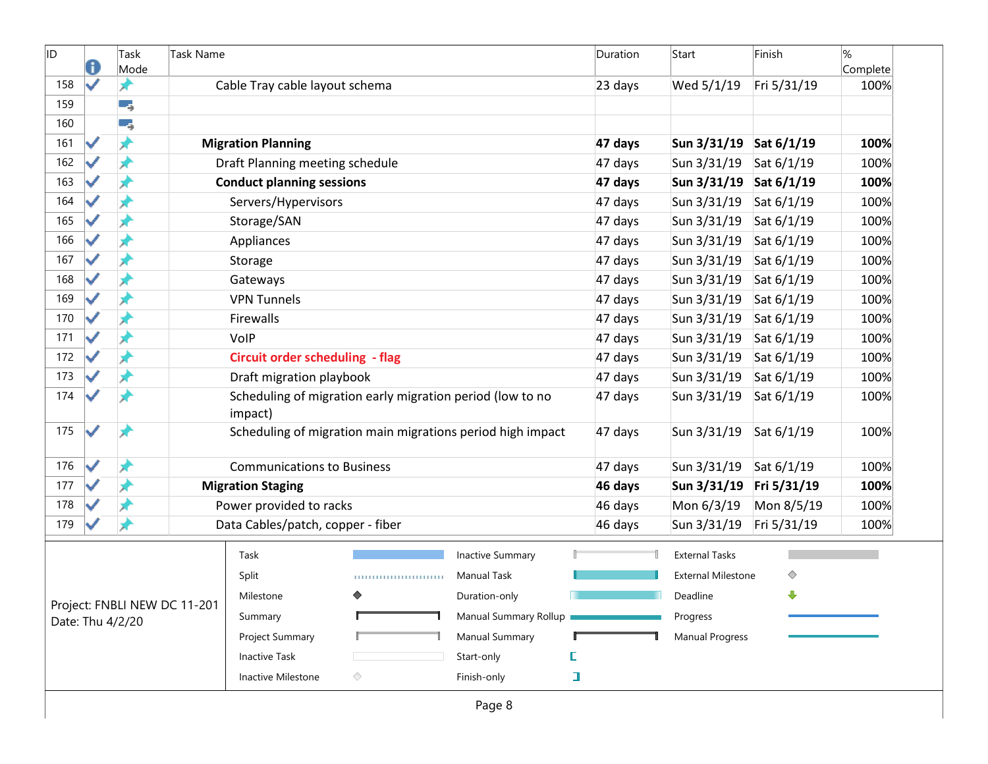| ID  | d                    | Task<br>Mode     | Task Name                    |                                        |                                                            |                         |   | Duration | Start                     | Finish      | %<br>Complete |
|-----|----------------------|------------------|------------------------------|----------------------------------------|------------------------------------------------------------|-------------------------|---|----------|---------------------------|-------------|---------------|
| 158 | ✓                    | ★                |                              | Cable Tray cable layout schema         |                                                            |                         |   | 23 days  | Wed 5/1/19                | Fri 5/31/19 | 100%          |
| 159 |                      | ۳,               |                              |                                        |                                                            |                         |   |          |                           |             |               |
| 160 |                      | ۳,               |                              |                                        |                                                            |                         |   |          |                           |             |               |
| 161 |                      | ⊀                |                              | <b>Migration Planning</b>              |                                                            |                         |   | 47 days  | Sun 3/31/19 Sat 6/1/19    |             | 100%          |
| 162 |                      |                  |                              | Draft Planning meeting schedule        |                                                            |                         |   | 47 days  | Sun 3/31/19               | Sat 6/1/19  | 100%          |
| 163 |                      | ⊀                |                              | <b>Conduct planning sessions</b>       |                                                            |                         |   | 47 days  | Sun 3/31/19 Sat 6/1/19    |             | 100%          |
| 164 |                      |                  |                              | Servers/Hypervisors                    |                                                            |                         |   | 47 days  | Sun 3/31/19               | Sat 6/1/19  | 100%          |
| 165 |                      |                  |                              | Storage/SAN                            |                                                            |                         |   | 47 days  | Sun 3/31/19               | Sat 6/1/19  | 100%          |
| 166 |                      |                  |                              | Appliances                             |                                                            |                         |   | 47 days  | Sun 3/31/19               | Sat 6/1/19  | 100%          |
| 167 |                      |                  |                              | Storage                                |                                                            |                         |   | 47 days  | Sun 3/31/19               | Sat 6/1/19  | 100%          |
| 168 |                      |                  |                              | Gateways                               |                                                            |                         |   | 47 days  | Sun 3/31/19               | Sat 6/1/19  | 100%          |
| 169 |                      |                  |                              | <b>VPN Tunnels</b>                     |                                                            |                         |   | 47 days  | Sun 3/31/19               | Sat 6/1/19  | 100%          |
| 170 |                      |                  |                              | Firewalls                              |                                                            |                         |   | 47 days  | Sun 3/31/19               | Sat 6/1/19  | 100%          |
| 171 |                      | Ж                |                              | VolP                                   |                                                            |                         |   | 47 days  | Sun 3/31/19               | Sat 6/1/19  | 100%          |
| 172 |                      |                  |                              | <b>Circuit order scheduling - flag</b> |                                                            |                         |   | 47 days  | Sun 3/31/19               | Sat 6/1/19  | 100%          |
| 173 |                      |                  |                              | Draft migration playbook               |                                                            |                         |   | 47 days  | Sun 3/31/19               | Sat 6/1/19  | 100%          |
| 174 |                      |                  |                              | impact)                                | Scheduling of migration early migration period (low to no  |                         |   | 47 days  | Sun 3/31/19               | Sat 6/1/19  | 100%          |
| 175 | $\blacktriangledown$ | x                |                              |                                        | Scheduling of migration main migrations period high impact |                         |   | 47 days  | Sun 3/31/19               | Sat 6/1/19  | 100%          |
| 176 | ✓                    | ⊀                |                              | <b>Communications to Business</b>      |                                                            |                         |   | 47 days  | Sun 3/31/19               | Sat 6/1/19  | 100%          |
| 177 |                      |                  |                              | <b>Migration Staging</b>               |                                                            |                         |   | 46 days  | Sun 3/31/19               | Fri 5/31/19 | 100%          |
| 178 |                      |                  |                              | Power provided to racks                |                                                            |                         |   | 46 days  | Mon 6/3/19                | Mon 8/5/19  | 100%          |
| 179 |                      | x                |                              | Data Cables/patch, copper - fiber      |                                                            |                         |   | 46 days  | Sun 3/31/19               | Fri 5/31/19 | 100%          |
|     |                      |                  |                              | Task                                   |                                                            | <b>Inactive Summary</b> |   |          | <b>External Tasks</b>     |             |               |
|     |                      |                  |                              | Split                                  |                                                            | Manual Task             |   |          | <b>External Milestone</b> | ◇           |               |
|     |                      |                  |                              | Milestone                              | ♦                                                          | Duration-only           |   |          | Deadline                  | ⊕           |               |
|     |                      | Date: Thu 4/2/20 | Project: FNBLI NEW DC 11-201 | Summary                                |                                                            | Manual Summary Rollup   |   |          | Progress                  |             |               |
|     |                      |                  |                              | Project Summary                        |                                                            | <b>Manual Summary</b>   |   |          | <b>Manual Progress</b>    |             |               |
|     |                      |                  |                              | <b>Inactive Task</b>                   |                                                            | Start-only              | E |          |                           |             |               |
|     |                      |                  |                              | Inactive Milestone                     | $\Diamond$                                                 | Finish-only             | ı |          |                           |             |               |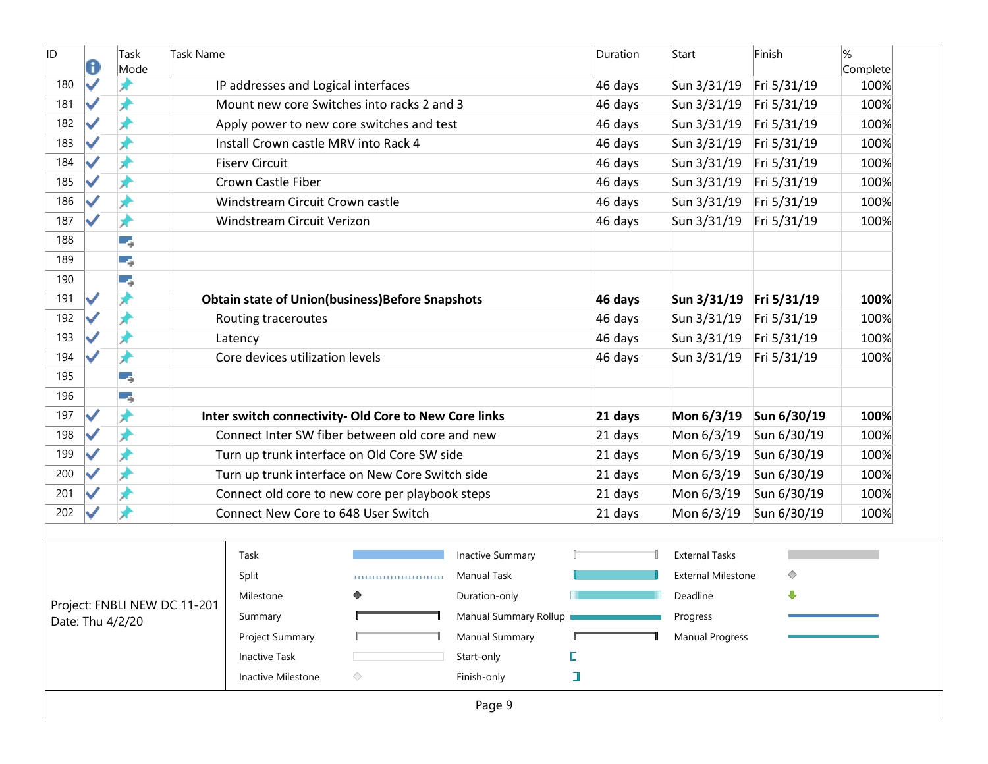| <b>ID</b> | a | Task<br>Mode     | Task Name                    |                                                         |                           |                         | Duration | Start                     | Finish      | $\%$<br>Complete |
|-----------|---|------------------|------------------------------|---------------------------------------------------------|---------------------------|-------------------------|----------|---------------------------|-------------|------------------|
| 180       | ✓ | ж                |                              | IP addresses and Logical interfaces                     |                           |                         | 46 days  | Sun 3/31/19               | Fri 5/31/19 | 100%             |
| 181       | ✓ | ж                |                              | Mount new core Switches into racks 2 and 3              |                           |                         | 46 days  | Sun 3/31/19               | Fri 5/31/19 | 100%             |
| 182       |   | Ж                |                              | Apply power to new core switches and test               |                           |                         | 46 days  | Sun 3/31/19               | Fri 5/31/19 | 100%             |
| 183       |   | ×                |                              | Install Crown castle MRV into Rack 4                    |                           |                         | 46 days  | Sun 3/31/19               | Fri 5/31/19 | 100%             |
| 184       | ✓ | ⊀                |                              | <b>Fiserv Circuit</b>                                   |                           |                         | 46 days  | Sun 3/31/19               | Fri 5/31/19 | 100%             |
| 185       | ✓ | ⊀                |                              | Crown Castle Fiber                                      |                           |                         | 46 days  | Sun 3/31/19               | Fri 5/31/19 | 100%             |
| 186       |   | ж                |                              | Windstream Circuit Crown castle                         |                           |                         | 46 days  | Sun 3/31/19               | Fri 5/31/19 | 100%             |
| 187       | ✓ | ★                |                              | Windstream Circuit Verizon                              |                           |                         | 46 days  | Sun 3/31/19               | Fri 5/31/19 | 100%             |
| 188       |   | -4               |                              |                                                         |                           |                         |          |                           |             |                  |
| 189       |   | ۰,               |                              |                                                         |                           |                         |          |                           |             |                  |
| 190       |   | -4               |                              |                                                         |                           |                         |          |                           |             |                  |
| 191       | ✓ | ★                |                              | <b>Obtain state of Union(business) Before Snapshots</b> |                           |                         | 46 days  | Sun 3/31/19 Fri 5/31/19   |             | 100%             |
| 192       |   | x                |                              | Routing traceroutes                                     |                           |                         | 46 days  | Sun 3/31/19               | Fri 5/31/19 | 100%             |
| 193       |   | ⊀                |                              | Latency                                                 |                           |                         | 46 days  | Sun 3/31/19               | Fri 5/31/19 | 100%             |
| 194       | ✓ | ★                |                              | Core devices utilization levels                         |                           |                         | 46 days  | Sun 3/31/19               | Fri 5/31/19 | 100%             |
| 195       |   | -4               |                              |                                                         |                           |                         |          |                           |             |                  |
| 196       |   | -4               |                              |                                                         |                           |                         |          |                           |             |                  |
| 197       | ✓ | ₩                |                              | Inter switch connectivity- Old Core to New Core links   |                           |                         | 21 days  | Mon 6/3/19                | Sun 6/30/19 | 100%             |
| 198       | ✓ | ×                |                              | Connect Inter SW fiber between old core and new         |                           |                         | 21 days  | Mon 6/3/19                | Sun 6/30/19 | 100%             |
| 199       |   | ⊀                |                              | Turn up trunk interface on Old Core SW side             |                           |                         | 21 days  | Mon 6/3/19                | Sun 6/30/19 | 100%             |
| 200       |   | ⊀                |                              | Turn up trunk interface on New Core Switch side         |                           |                         | 21 days  | Mon 6/3/19                | Sun 6/30/19 | 100%             |
| 201       |   | ж                |                              | Connect old core to new core per playbook steps         |                           |                         | 21 days  | Mon 6/3/19                | Sun 6/30/19 | 100%             |
| 202       |   |                  |                              | Connect New Core to 648 User Switch                     |                           |                         | 21 days  | Mon 6/3/19                | Sun 6/30/19 | 100%             |
|           |   |                  |                              |                                                         |                           |                         |          |                           |             |                  |
|           |   |                  |                              | Task                                                    |                           | <b>Inactive Summary</b> |          | <b>External Tasks</b>     |             |                  |
|           |   |                  |                              | Split                                                   | ,,,,,,,,,,,,,,,,,,,,,,,,, | Manual Task             |          | <b>External Milestone</b> | ◇           |                  |
|           |   |                  | Project: FNBLI NEW DC 11-201 | Milestone                                               | ♦                         | Duration-only           |          | Deadline                  | ⊕           |                  |
|           |   | Date: Thu 4/2/20 |                              | Summary                                                 |                           | Manual Summary Rollup   |          | Progress                  |             |                  |
|           |   |                  |                              | Project Summary                                         |                           | <b>Manual Summary</b>   |          | <b>Manual Progress</b>    |             |                  |
|           |   |                  |                              | <b>Inactive Task</b>                                    |                           | Start-only              | E        |                           |             |                  |
|           |   |                  |                              | Inactive Milestone                                      | ◇                         | Finish-only             | I        |                           |             |                  |
|           |   |                  |                              |                                                         |                           | Page 9                  |          |                           |             |                  |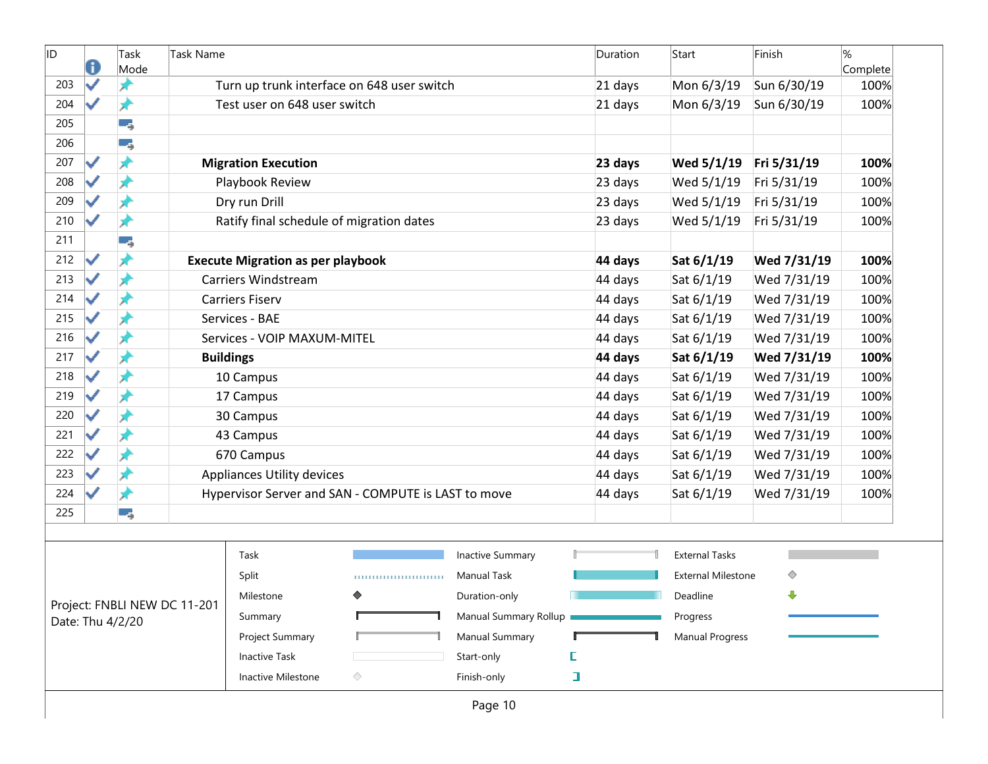| ID  | 0                    | Task<br>Mode     | <b>Task Name</b>             |                                          |                                                     |                         |        | Duration | Start                     | Finish      | %<br>Complete |
|-----|----------------------|------------------|------------------------------|------------------------------------------|-----------------------------------------------------|-------------------------|--------|----------|---------------------------|-------------|---------------|
| 203 | ✓                    | ж                |                              |                                          | Turn up trunk interface on 648 user switch          |                         |        | 21 days  | Mon 6/3/19                | Sun 6/30/19 | 100%          |
| 204 | ✓                    | ₩                |                              | Test user on 648 user switch             |                                                     |                         |        | 21 days  | Mon 6/3/19                | Sun 6/30/19 | 100%          |
| 205 |                      | ۳,               |                              |                                          |                                                     |                         |        |          |                           |             |               |
| 206 |                      | ۳,               |                              |                                          |                                                     |                         |        |          |                           |             |               |
| 207 | ✓                    | ₩                |                              | <b>Migration Execution</b>               |                                                     |                         |        | 23 days  | Wed 5/1/19                | Fri 5/31/19 | 100%          |
| 208 | ✓                    | ⊀                |                              | Playbook Review                          |                                                     |                         |        | 23 days  | Wed 5/1/19                | Fri 5/31/19 | 100%          |
| 209 | ✓                    | Å                |                              | Dry run Drill                            |                                                     |                         |        | 23 days  | Wed 5/1/19                | Fri 5/31/19 | 100%          |
| 210 | ✓                    | ⊀                |                              | Ratify final schedule of migration dates |                                                     |                         |        | 23 days  | Wed 5/1/19                | Fri 5/31/19 | 100%          |
| 211 |                      | ۳,               |                              |                                          |                                                     |                         |        |          |                           |             |               |
| 212 | ✓                    | ⊀                |                              | <b>Execute Migration as per playbook</b> |                                                     |                         |        | 44 days  | Sat 6/1/19                | Wed 7/31/19 | 100%          |
| 213 | ✓                    | ⊀                |                              | Carriers Windstream                      |                                                     |                         |        | 44 days  | Sat 6/1/19                | Wed 7/31/19 | 100%          |
| 214 | $\checkmark$         | ⊀                |                              | <b>Carriers Fiserv</b>                   |                                                     |                         |        | 44 days  | Sat 6/1/19                | Wed 7/31/19 | 100%          |
| 215 | ✓                    | Ж                |                              | Services - BAE                           |                                                     |                         |        | 44 days  | Sat 6/1/19                | Wed 7/31/19 | 100%          |
| 216 | ✓                    | ⊀                |                              | Services - VOIP MAXUM-MITEL              |                                                     |                         |        | 44 days  | Sat 6/1/19                | Wed 7/31/19 | 100%          |
| 217 | ✔                    | ⊀                |                              | <b>Buildings</b>                         |                                                     |                         |        | 44 days  | Sat 6/1/19                | Wed 7/31/19 | 100%          |
| 218 | ✓                    | Ж                |                              | 10 Campus                                |                                                     |                         |        | 44 days  | Sat 6/1/19                | Wed 7/31/19 | 100%          |
| 219 |                      | x                |                              | 17 Campus                                |                                                     |                         |        | 44 days  | Sat 6/1/19                | Wed 7/31/19 | 100%          |
| 220 | ✓                    | Ж                |                              | 30 Campus                                |                                                     |                         |        | 44 days  | Sat 6/1/19                | Wed 7/31/19 | 100%          |
| 221 | ✓                    | ⊀                |                              | 43 Campus                                |                                                     |                         |        | 44 days  | Sat 6/1/19                | Wed 7/31/19 | 100%          |
| 222 |                      | ⊀                |                              | 670 Campus                               |                                                     |                         |        | 44 days  | Sat 6/1/19                | Wed 7/31/19 | 100%          |
| 223 | $\blacktriangledown$ | ★                |                              | Appliances Utility devices               |                                                     |                         |        | 44 days  | Sat 6/1/19                | Wed 7/31/19 | 100%          |
| 224 | ✓                    | ⊀                |                              |                                          | Hypervisor Server and SAN - COMPUTE is LAST to move |                         |        | 44 days  | Sat 6/1/19                | Wed 7/31/19 | 100%          |
| 225 |                      | Ξ,               |                              |                                          |                                                     |                         |        |          |                           |             |               |
|     |                      |                  |                              | Task                                     |                                                     | <b>Inactive Summary</b> |        |          | <b>External Tasks</b>     |             |               |
|     |                      |                  |                              | Split                                    |                                                     | <b>Manual Task</b>      |        |          | <b>External Milestone</b> | ◇           |               |
|     |                      |                  |                              | Milestone                                | ♦                                                   | Duration-only           |        |          | Deadline                  | ⊕           |               |
|     |                      | Date: Thu 4/2/20 | Project: FNBLI NEW DC 11-201 | Summary                                  |                                                     | Manual Summary Rollup   |        |          | Progress                  |             |               |
|     |                      |                  |                              | Project Summary                          |                                                     | Manual Summary          |        |          | <b>Manual Progress</b>    |             |               |
|     |                      |                  |                              | <b>Inactive Task</b>                     |                                                     | Start-only              | E      |          |                           |             |               |
|     |                      |                  |                              | Inactive Milestone                       | ◇                                                   | Finish-only             | $\Box$ |          |                           |             |               |